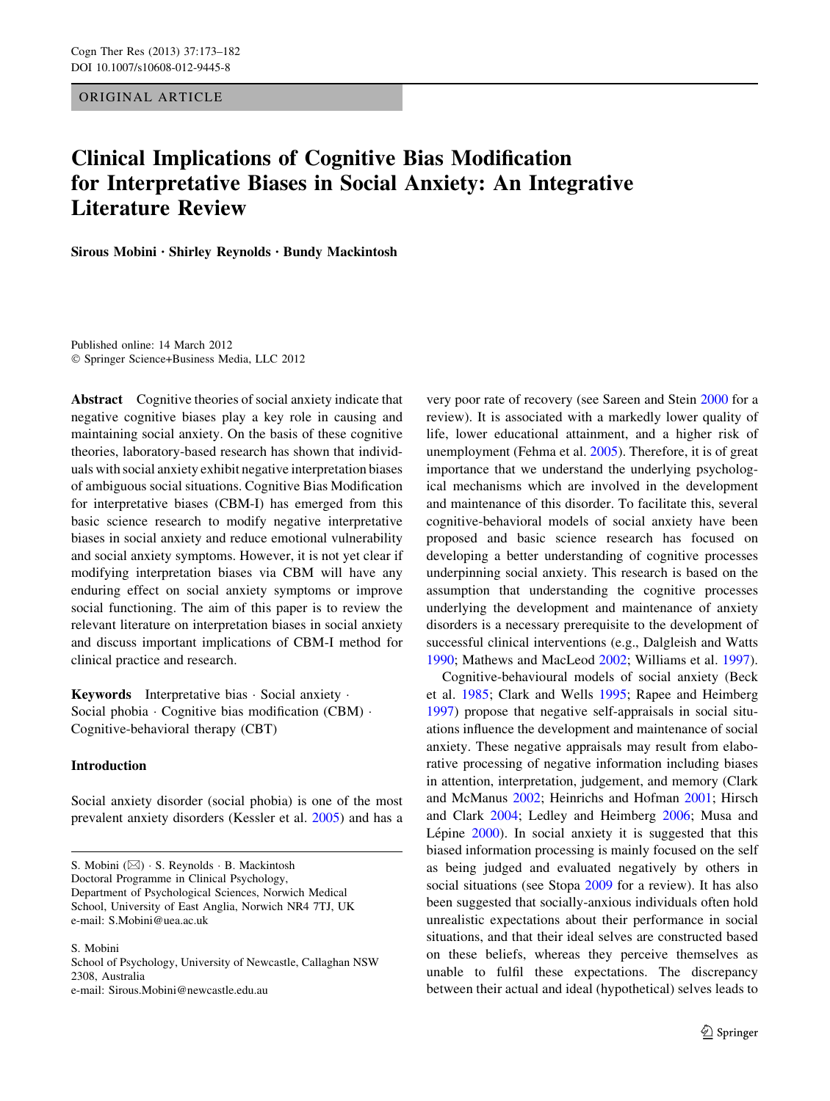ORIGINAL ARTICLE

# Clinical Implications of Cognitive Bias Modification for Interpretative Biases in Social Anxiety: An Integrative Literature Review

Sirous Mobini • Shirley Reynolds • Bundy Mackintosh

Published online: 14 March 2012 - Springer Science+Business Media, LLC 2012

Abstract Cognitive theories of social anxiety indicate that negative cognitive biases play a key role in causing and maintaining social anxiety. On the basis of these cognitive theories, laboratory-based research has shown that individuals with social anxiety exhibit negative interpretation biases of ambiguous social situations. Cognitive Bias Modification for interpretative biases (CBM-I) has emerged from this basic science research to modify negative interpretative biases in social anxiety and reduce emotional vulnerability and social anxiety symptoms. However, it is not yet clear if modifying interpretation biases via CBM will have any enduring effect on social anxiety symptoms or improve social functioning. The aim of this paper is to review the relevant literature on interpretation biases in social anxiety and discuss important implications of CBM-I method for clinical practice and research.

Keywords Interpretative bias · Social anxiety · Social phobia - Cognitive bias modification (CBM) - Cognitive-behavioral therapy (CBT)

## Introduction

Social anxiety disorder (social phobia) is one of the most prevalent anxiety disorders (Kessler et al. [2005\)](#page-9-0) and has a

S. Mobini (⊠) · S. Reynolds · B. Mackintosh Doctoral Programme in Clinical Psychology, Department of Psychological Sciences, Norwich Medical School, University of East Anglia, Norwich NR4 7TJ, UK e-mail: S.Mobini@uea.ac.uk

S. Mobini

School of Psychology, University of Newcastle, Callaghan NSW 2308, Australia e-mail: Sirous.Mobini@newcastle.edu.au

very poor rate of recovery (see Sareen and Stein [2000](#page-9-0) for a review). It is associated with a markedly lower quality of life, lower educational attainment, and a higher risk of unemployment (Fehma et al. [2005\)](#page-8-0). Therefore, it is of great importance that we understand the underlying psychological mechanisms which are involved in the development and maintenance of this disorder. To facilitate this, several cognitive-behavioral models of social anxiety have been proposed and basic science research has focused on developing a better understanding of cognitive processes underpinning social anxiety. This research is based on the assumption that understanding the cognitive processes underlying the development and maintenance of anxiety disorders is a necessary prerequisite to the development of successful clinical interventions (e.g., Dalgleish and Watts [1990](#page-8-0); Mathews and MacLeod [2002](#page-9-0); Williams et al. [1997](#page-9-0)).

Cognitive-behavioural models of social anxiety (Beck et al. [1985](#page-8-0); Clark and Wells [1995;](#page-8-0) Rapee and Heimberg [1997](#page-9-0)) propose that negative self-appraisals in social situations influence the development and maintenance of social anxiety. These negative appraisals may result from elaborative processing of negative information including biases in attention, interpretation, judgement, and memory (Clark and McManus [2002](#page-8-0); Heinrichs and Hofman [2001](#page-8-0); Hirsch and Clark [2004](#page-8-0); Ledley and Heimberg [2006;](#page-9-0) Musa and Lépine [2000\)](#page-9-0). In social anxiety it is suggested that this biased information processing is mainly focused on the self as being judged and evaluated negatively by others in social situations (see Stopa [2009](#page-9-0) for a review). It has also been suggested that socially-anxious individuals often hold unrealistic expectations about their performance in social situations, and that their ideal selves are constructed based on these beliefs, whereas they perceive themselves as unable to fulfil these expectations. The discrepancy between their actual and ideal (hypothetical) selves leads to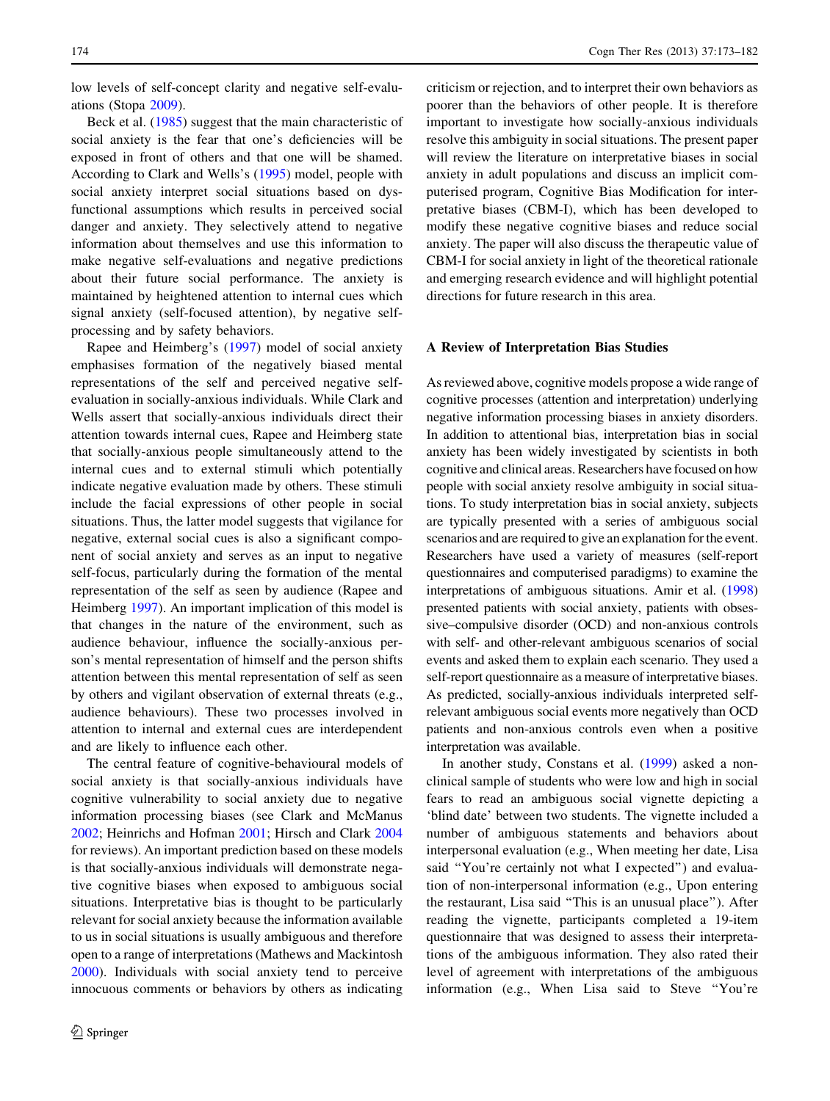low levels of self-concept clarity and negative self-evaluations (Stopa [2009\)](#page-9-0).

Beck et al. [\(1985](#page-8-0)) suggest that the main characteristic of social anxiety is the fear that one's deficiencies will be exposed in front of others and that one will be shamed. According to Clark and Wells's [\(1995](#page-8-0)) model, people with social anxiety interpret social situations based on dysfunctional assumptions which results in perceived social danger and anxiety. They selectively attend to negative information about themselves and use this information to make negative self-evaluations and negative predictions about their future social performance. The anxiety is maintained by heightened attention to internal cues which signal anxiety (self-focused attention), by negative selfprocessing and by safety behaviors.

Rapee and Heimberg's [\(1997](#page-9-0)) model of social anxiety emphasises formation of the negatively biased mental representations of the self and perceived negative selfevaluation in socially-anxious individuals. While Clark and Wells assert that socially-anxious individuals direct their attention towards internal cues, Rapee and Heimberg state that socially-anxious people simultaneously attend to the internal cues and to external stimuli which potentially indicate negative evaluation made by others. These stimuli include the facial expressions of other people in social situations. Thus, the latter model suggests that vigilance for negative, external social cues is also a significant component of social anxiety and serves as an input to negative self-focus, particularly during the formation of the mental representation of the self as seen by audience (Rapee and Heimberg [1997\)](#page-9-0). An important implication of this model is that changes in the nature of the environment, such as audience behaviour, influence the socially-anxious person's mental representation of himself and the person shifts attention between this mental representation of self as seen by others and vigilant observation of external threats (e.g., audience behaviours). These two processes involved in attention to internal and external cues are interdependent and are likely to influence each other.

The central feature of cognitive-behavioural models of social anxiety is that socially-anxious individuals have cognitive vulnerability to social anxiety due to negative information processing biases (see Clark and McManus [2002;](#page-8-0) Heinrichs and Hofman [2001](#page-8-0); Hirsch and Clark [2004](#page-8-0) for reviews). An important prediction based on these models is that socially-anxious individuals will demonstrate negative cognitive biases when exposed to ambiguous social situations. Interpretative bias is thought to be particularly relevant for social anxiety because the information available to us in social situations is usually ambiguous and therefore open to a range of interpretations (Mathews and Mackintosh [2000\)](#page-9-0). Individuals with social anxiety tend to perceive innocuous comments or behaviors by others as indicating

criticism or rejection, and to interpret their own behaviors as poorer than the behaviors of other people. It is therefore important to investigate how socially-anxious individuals resolve this ambiguity in social situations. The present paper will review the literature on interpretative biases in social anxiety in adult populations and discuss an implicit computerised program, Cognitive Bias Modification for interpretative biases (CBM-I), which has been developed to modify these negative cognitive biases and reduce social anxiety. The paper will also discuss the therapeutic value of CBM-I for social anxiety in light of the theoretical rationale and emerging research evidence and will highlight potential directions for future research in this area.

### A Review of Interpretation Bias Studies

As reviewed above, cognitive models propose a wide range of cognitive processes (attention and interpretation) underlying negative information processing biases in anxiety disorders. In addition to attentional bias, interpretation bias in social anxiety has been widely investigated by scientists in both cognitive and clinical areas. Researchers have focused on how people with social anxiety resolve ambiguity in social situations. To study interpretation bias in social anxiety, subjects are typically presented with a series of ambiguous social scenarios and are required to give an explanation for the event. Researchers have used a variety of measures (self-report questionnaires and computerised paradigms) to examine the interpretations of ambiguous situations. Amir et al. [\(1998\)](#page-8-0) presented patients with social anxiety, patients with obsessive–compulsive disorder (OCD) and non-anxious controls with self- and other-relevant ambiguous scenarios of social events and asked them to explain each scenario. They used a self-report questionnaire as a measure of interpretative biases. As predicted, socially-anxious individuals interpreted selfrelevant ambiguous social events more negatively than OCD patients and non-anxious controls even when a positive interpretation was available.

In another study, Constans et al. ([1999\)](#page-8-0) asked a nonclinical sample of students who were low and high in social fears to read an ambiguous social vignette depicting a 'blind date' between two students. The vignette included a number of ambiguous statements and behaviors about interpersonal evaluation (e.g., When meeting her date, Lisa said "You're certainly not what I expected") and evaluation of non-interpersonal information (e.g., Upon entering the restaurant, Lisa said ''This is an unusual place''). After reading the vignette, participants completed a 19-item questionnaire that was designed to assess their interpretations of the ambiguous information. They also rated their level of agreement with interpretations of the ambiguous information (e.g., When Lisa said to Steve ''You're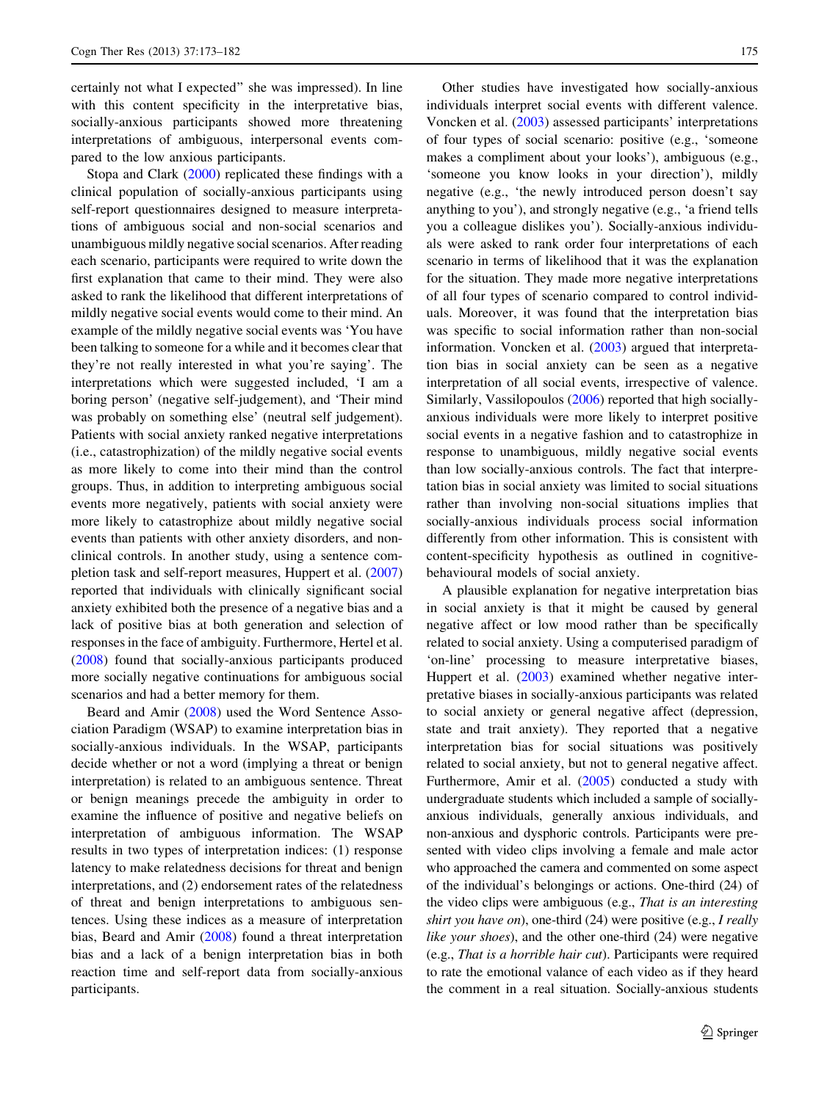certainly not what I expected'' she was impressed). In line with this content specificity in the interpretative bias, socially-anxious participants showed more threatening interpretations of ambiguous, interpersonal events compared to the low anxious participants.

Stopa and Clark ([2000\)](#page-9-0) replicated these findings with a clinical population of socially-anxious participants using self-report questionnaires designed to measure interpretations of ambiguous social and non-social scenarios and unambiguous mildly negative social scenarios. After reading each scenario, participants were required to write down the first explanation that came to their mind. They were also asked to rank the likelihood that different interpretations of mildly negative social events would come to their mind. An example of the mildly negative social events was 'You have been talking to someone for a while and it becomes clear that they're not really interested in what you're saying'. The interpretations which were suggested included, 'I am a boring person' (negative self-judgement), and 'Their mind was probably on something else' (neutral self judgement). Patients with social anxiety ranked negative interpretations (i.e., catastrophization) of the mildly negative social events as more likely to come into their mind than the control groups. Thus, in addition to interpreting ambiguous social events more negatively, patients with social anxiety were more likely to catastrophize about mildly negative social events than patients with other anxiety disorders, and nonclinical controls. In another study, using a sentence completion task and self-report measures, Huppert et al. ([2007\)](#page-9-0) reported that individuals with clinically significant social anxiety exhibited both the presence of a negative bias and a lack of positive bias at both generation and selection of responses in the face of ambiguity. Furthermore, Hertel et al. [\(2008](#page-8-0)) found that socially-anxious participants produced more socially negative continuations for ambiguous social scenarios and had a better memory for them.

Beard and Amir ([2008\)](#page-8-0) used the Word Sentence Association Paradigm (WSAP) to examine interpretation bias in socially-anxious individuals. In the WSAP, participants decide whether or not a word (implying a threat or benign interpretation) is related to an ambiguous sentence. Threat or benign meanings precede the ambiguity in order to examine the influence of positive and negative beliefs on interpretation of ambiguous information. The WSAP results in two types of interpretation indices: (1) response latency to make relatedness decisions for threat and benign interpretations, and (2) endorsement rates of the relatedness of threat and benign interpretations to ambiguous sentences. Using these indices as a measure of interpretation bias, Beard and Amir ([2008\)](#page-8-0) found a threat interpretation bias and a lack of a benign interpretation bias in both reaction time and self-report data from socially-anxious participants.

Other studies have investigated how socially-anxious individuals interpret social events with different valence. Voncken et al. ([2003\)](#page-9-0) assessed participants' interpretations of four types of social scenario: positive (e.g., 'someone makes a compliment about your looks'), ambiguous (e.g., 'someone you know looks in your direction'), mildly negative (e.g., 'the newly introduced person doesn't say anything to you'), and strongly negative (e.g., 'a friend tells you a colleague dislikes you'). Socially-anxious individuals were asked to rank order four interpretations of each scenario in terms of likelihood that it was the explanation for the situation. They made more negative interpretations of all four types of scenario compared to control individuals. Moreover, it was found that the interpretation bias was specific to social information rather than non-social information. Voncken et al. [\(2003](#page-9-0)) argued that interpretation bias in social anxiety can be seen as a negative interpretation of all social events, irrespective of valence. Similarly, Vassilopoulos ([2006\)](#page-9-0) reported that high sociallyanxious individuals were more likely to interpret positive social events in a negative fashion and to catastrophize in response to unambiguous, mildly negative social events than low socially-anxious controls. The fact that interpretation bias in social anxiety was limited to social situations rather than involving non-social situations implies that socially-anxious individuals process social information differently from other information. This is consistent with content-specificity hypothesis as outlined in cognitivebehavioural models of social anxiety.

A plausible explanation for negative interpretation bias in social anxiety is that it might be caused by general negative affect or low mood rather than be specifically related to social anxiety. Using a computerised paradigm of 'on-line' processing to measure interpretative biases, Huppert et al. [\(2003](#page-8-0)) examined whether negative interpretative biases in socially-anxious participants was related to social anxiety or general negative affect (depression, state and trait anxiety). They reported that a negative interpretation bias for social situations was positively related to social anxiety, but not to general negative affect. Furthermore, Amir et al. [\(2005](#page-8-0)) conducted a study with undergraduate students which included a sample of sociallyanxious individuals, generally anxious individuals, and non-anxious and dysphoric controls. Participants were presented with video clips involving a female and male actor who approached the camera and commented on some aspect of the individual's belongings or actions. One-third (24) of the video clips were ambiguous (e.g., That is an interesting shirt you have on), one-third (24) were positive (e.g., I really like your shoes), and the other one-third (24) were negative (e.g., That is a horrible hair cut). Participants were required to rate the emotional valance of each video as if they heard the comment in a real situation. Socially-anxious students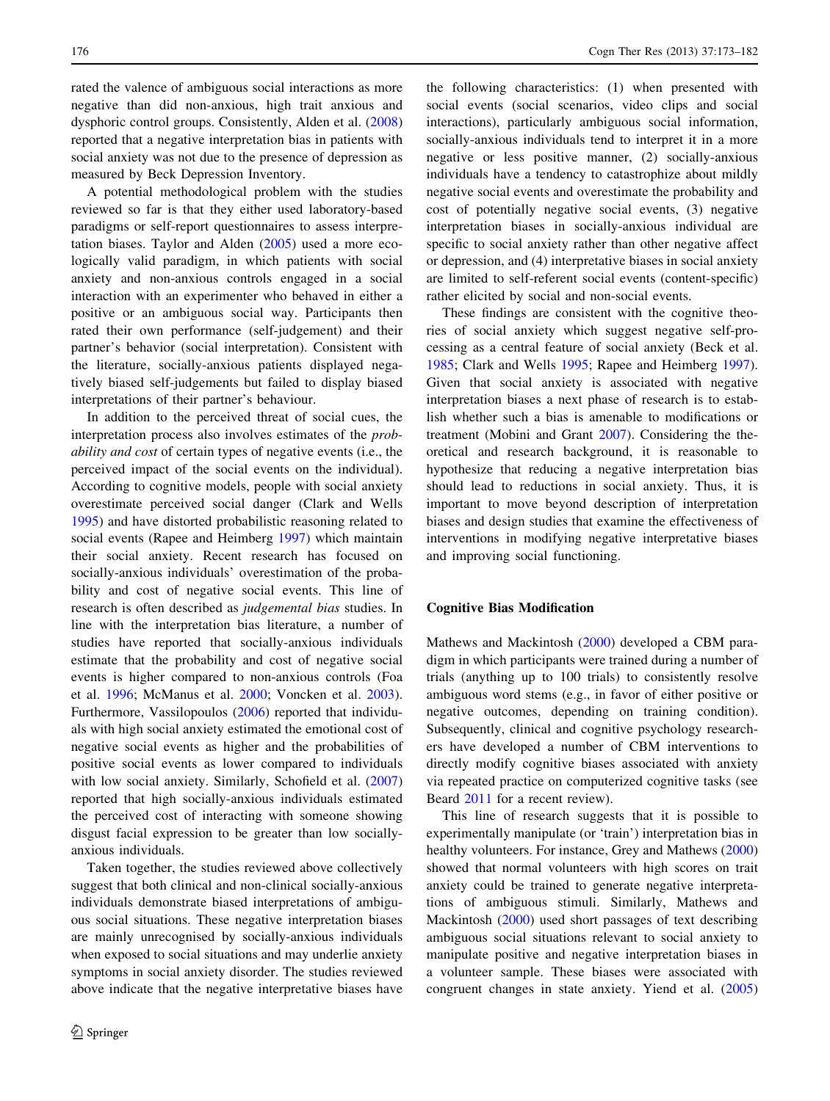rated the valence of ambiguous social interactions as more negative than did non-anxious, high trait anxious and dysphoric control groups. Consistently, Alden et al. ([2008\)](#page-8-0) reported that a negative interpretation bias in patients with social anxiety was not due to the presence of depression as measured by Beck Depression Inventory.

A potential methodological problem with the studies reviewed so far is that they either used laboratory-based paradigms or self-report questionnaires to assess interpretation biases. Taylor and Alden [\(2005](#page-9-0)) used a more ecologically valid paradigm, in which patients with social anxiety and non-anxious controls engaged in a social interaction with an experimenter who behaved in either a positive or an ambiguous social way. Participants then rated their own performance (self-judgement) and their partner's behavior (social interpretation). Consistent with the literature, socially-anxious patients displayed negatively biased self-judgements but failed to display biased interpretations of their partner's behaviour.

In addition to the perceived threat of social cues, the interpretation process also involves estimates of the probability and cost of certain types of negative events (i.e., the perceived impact of the social events on the individual). According to cognitive models, people with social anxiety overestimate perceived social danger (Clark and Wells [1995\)](#page-8-0) and have distorted probabilistic reasoning related to social events (Rapee and Heimberg [1997\)](#page-9-0) which maintain their social anxiety. Recent research has focused on socially-anxious individuals' overestimation of the probability and cost of negative social events. This line of research is often described as judgemental bias studies. In line with the interpretation bias literature, a number of studies have reported that socially-anxious individuals estimate that the probability and cost of negative social events is higher compared to non-anxious controls (Foa et al. [1996;](#page-8-0) McManus et al. [2000;](#page-9-0) Voncken et al. [2003](#page-9-0)). Furthermore, Vassilopoulos [\(2006](#page-9-0)) reported that individuals with high social anxiety estimated the emotional cost of negative social events as higher and the probabilities of positive social events as lower compared to individuals with low social anxiety. Similarly, Schofield et al. ([2007\)](#page-9-0) reported that high socially-anxious individuals estimated the perceived cost of interacting with someone showing disgust facial expression to be greater than low sociallyanxious individuals.

Taken together, the studies reviewed above collectively suggest that both clinical and non-clinical socially-anxious individuals demonstrate biased interpretations of ambiguous social situations. These negative interpretation biases are mainly unrecognised by socially-anxious individuals when exposed to social situations and may underlie anxiety symptoms in social anxiety disorder. The studies reviewed above indicate that the negative interpretative biases have

the following characteristics: (1) when presented with social events (social scenarios, video clips and social interactions), particularly ambiguous social information, socially-anxious individuals tend to interpret it in a more negative or less positive manner, (2) socially-anxious individuals have a tendency to catastrophize about mildly negative social events and overestimate the probability and cost of potentially negative social events, (3) negative interpretation biases in socially-anxious individual are specific to social anxiety rather than other negative affect or depression, and (4) interpretative biases in social anxiety are limited to self-referent social events (content-specific) rather elicited by social and non-social events.

These findings are consistent with the cognitive theories of social anxiety which suggest negative self-processing as a central feature of social anxiety (Beck et al. [1985](#page-8-0); Clark and Wells [1995;](#page-8-0) Rapee and Heimberg [1997](#page-9-0)). Given that social anxiety is associated with negative interpretation biases a next phase of research is to establish whether such a bias is amenable to modifications or treatment (Mobini and Grant [2007\)](#page-9-0). Considering the theoretical and research background, it is reasonable to hypothesize that reducing a negative interpretation bias should lead to reductions in social anxiety. Thus, it is important to move beyond description of interpretation biases and design studies that examine the effectiveness of interventions in modifying negative interpretative biases and improving social functioning.

#### Cognitive Bias Modification

Mathews and Mackintosh [\(2000](#page-9-0)) developed a CBM paradigm in which participants were trained during a number of trials (anything up to 100 trials) to consistently resolve ambiguous word stems (e.g., in favor of either positive or negative outcomes, depending on training condition). Subsequently, clinical and cognitive psychology researchers have developed a number of CBM interventions to directly modify cognitive biases associated with anxiety via repeated practice on computerized cognitive tasks (see Beard [2011](#page-8-0) for a recent review).

This line of research suggests that it is possible to experimentally manipulate (or 'train') interpretation bias in healthy volunteers. For instance, Grey and Mathews ([2000\)](#page-8-0) showed that normal volunteers with high scores on trait anxiety could be trained to generate negative interpretations of ambiguous stimuli. Similarly, Mathews and Mackintosh [\(2000](#page-9-0)) used short passages of text describing ambiguous social situations relevant to social anxiety to manipulate positive and negative interpretation biases in a volunteer sample. These biases were associated with congruent changes in state anxiety. Yiend et al. ([2005\)](#page-9-0)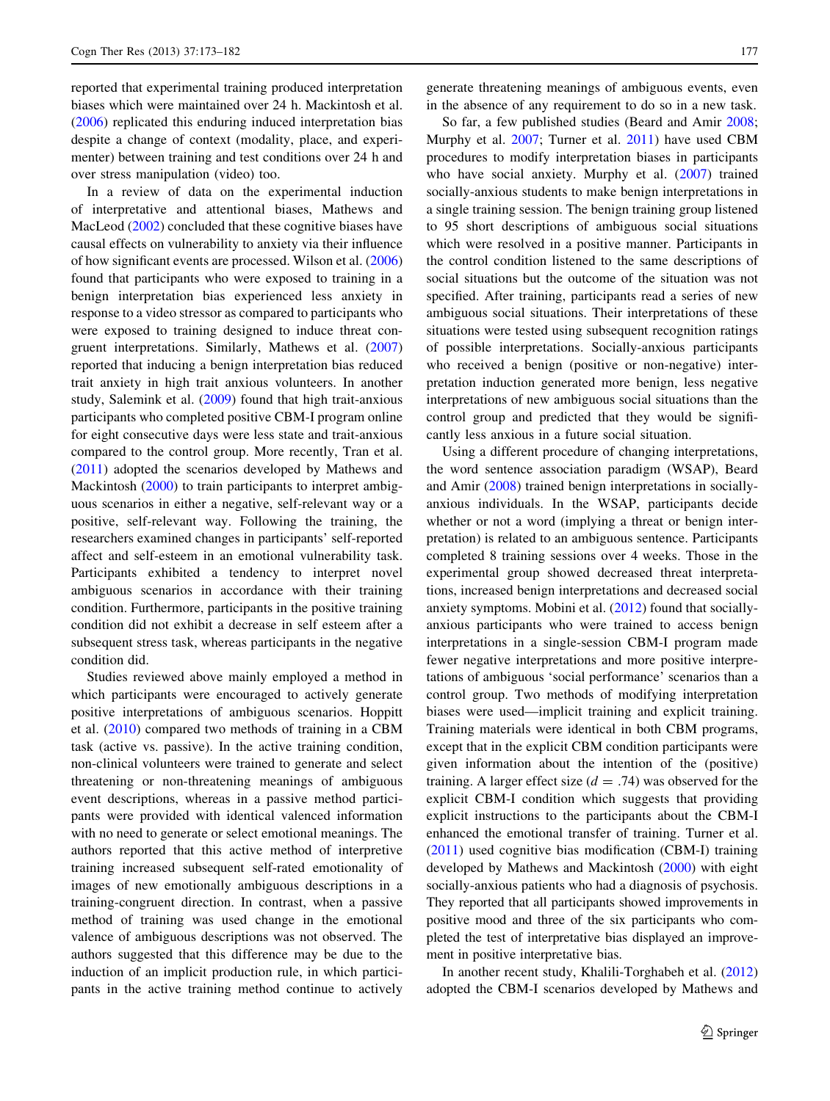reported that experimental training produced interpretation biases which were maintained over 24 h. Mackintosh et al. [\(2006](#page-9-0)) replicated this enduring induced interpretation bias despite a change of context (modality, place, and experimenter) between training and test conditions over 24 h and over stress manipulation (video) too.

In a review of data on the experimental induction of interpretative and attentional biases, Mathews and MacLeod ([2002\)](#page-9-0) concluded that these cognitive biases have causal effects on vulnerability to anxiety via their influence of how significant events are processed. Wilson et al. ([2006\)](#page-9-0) found that participants who were exposed to training in a benign interpretation bias experienced less anxiety in response to a video stressor as compared to participants who were exposed to training designed to induce threat congruent interpretations. Similarly, Mathews et al. ([2007\)](#page-9-0) reported that inducing a benign interpretation bias reduced trait anxiety in high trait anxious volunteers. In another study, Salemink et al. [\(2009](#page-9-0)) found that high trait-anxious participants who completed positive CBM-I program online for eight consecutive days were less state and trait-anxious compared to the control group. More recently, Tran et al. [\(2011](#page-9-0)) adopted the scenarios developed by Mathews and Mackintosh ([2000\)](#page-9-0) to train participants to interpret ambiguous scenarios in either a negative, self-relevant way or a positive, self-relevant way. Following the training, the researchers examined changes in participants' self-reported affect and self-esteem in an emotional vulnerability task. Participants exhibited a tendency to interpret novel ambiguous scenarios in accordance with their training condition. Furthermore, participants in the positive training condition did not exhibit a decrease in self esteem after a subsequent stress task, whereas participants in the negative condition did.

Studies reviewed above mainly employed a method in which participants were encouraged to actively generate positive interpretations of ambiguous scenarios. Hoppitt et al. ([2010\)](#page-8-0) compared two methods of training in a CBM task (active vs. passive). In the active training condition, non-clinical volunteers were trained to generate and select threatening or non-threatening meanings of ambiguous event descriptions, whereas in a passive method participants were provided with identical valenced information with no need to generate or select emotional meanings. The authors reported that this active method of interpretive training increased subsequent self-rated emotionality of images of new emotionally ambiguous descriptions in a training-congruent direction. In contrast, when a passive method of training was used change in the emotional valence of ambiguous descriptions was not observed. The authors suggested that this difference may be due to the induction of an implicit production rule, in which participants in the active training method continue to actively generate threatening meanings of ambiguous events, even in the absence of any requirement to do so in a new task.

So far, a few published studies (Beard and Amir [2008](#page-8-0); Murphy et al. [2007](#page-9-0); Turner et al. [2011\)](#page-9-0) have used CBM procedures to modify interpretation biases in participants who have social anxiety. Murphy et al. ([2007\)](#page-9-0) trained socially-anxious students to make benign interpretations in a single training session. The benign training group listened to 95 short descriptions of ambiguous social situations which were resolved in a positive manner. Participants in the control condition listened to the same descriptions of social situations but the outcome of the situation was not specified. After training, participants read a series of new ambiguous social situations. Their interpretations of these situations were tested using subsequent recognition ratings of possible interpretations. Socially-anxious participants who received a benign (positive or non-negative) interpretation induction generated more benign, less negative interpretations of new ambiguous social situations than the control group and predicted that they would be significantly less anxious in a future social situation.

Using a different procedure of changing interpretations, the word sentence association paradigm (WSAP), Beard and Amir ([2008\)](#page-8-0) trained benign interpretations in sociallyanxious individuals. In the WSAP, participants decide whether or not a word (implying a threat or benign interpretation) is related to an ambiguous sentence. Participants completed 8 training sessions over 4 weeks. Those in the experimental group showed decreased threat interpretations, increased benign interpretations and decreased social anxiety symptoms. Mobini et al. ([2012\)](#page-9-0) found that sociallyanxious participants who were trained to access benign interpretations in a single-session CBM-I program made fewer negative interpretations and more positive interpretations of ambiguous 'social performance' scenarios than a control group. Two methods of modifying interpretation biases were used—implicit training and explicit training. Training materials were identical in both CBM programs, except that in the explicit CBM condition participants were given information about the intention of the (positive) training. A larger effect size  $(d = .74)$  was observed for the explicit CBM-I condition which suggests that providing explicit instructions to the participants about the CBM-I enhanced the emotional transfer of training. Turner et al. [\(2011](#page-9-0)) used cognitive bias modification (CBM-I) training developed by Mathews and Mackintosh [\(2000](#page-9-0)) with eight socially-anxious patients who had a diagnosis of psychosis. They reported that all participants showed improvements in positive mood and three of the six participants who completed the test of interpretative bias displayed an improvement in positive interpretative bias.

In another recent study, Khalili-Torghabeh et al. ([2012\)](#page-9-0) adopted the CBM-I scenarios developed by Mathews and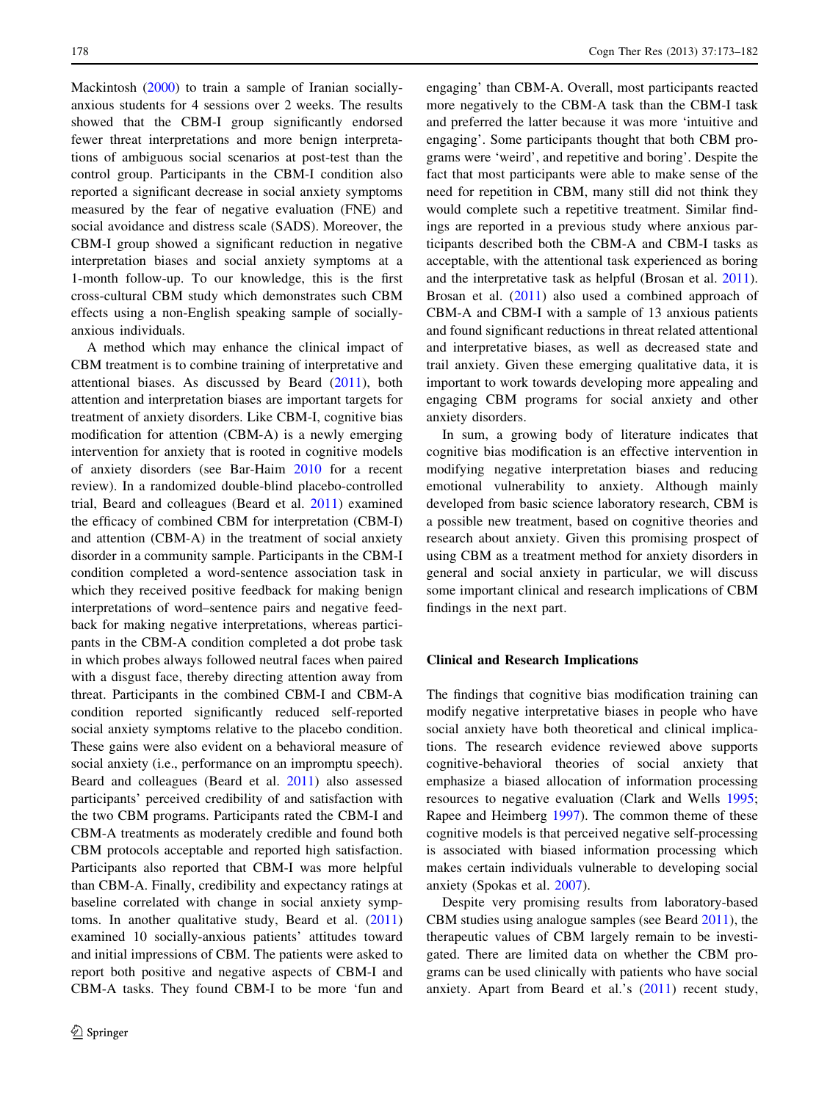Mackintosh ([2000\)](#page-9-0) to train a sample of Iranian sociallyanxious students for 4 sessions over 2 weeks. The results showed that the CBM-I group significantly endorsed fewer threat interpretations and more benign interpretations of ambiguous social scenarios at post-test than the control group. Participants in the CBM-I condition also reported a significant decrease in social anxiety symptoms measured by the fear of negative evaluation (FNE) and social avoidance and distress scale (SADS). Moreover, the CBM-I group showed a significant reduction in negative interpretation biases and social anxiety symptoms at a 1-month follow-up. To our knowledge, this is the first cross-cultural CBM study which demonstrates such CBM effects using a non-English speaking sample of sociallyanxious individuals.

A method which may enhance the clinical impact of CBM treatment is to combine training of interpretative and attentional biases. As discussed by Beard [\(2011\)](#page-8-0), both attention and interpretation biases are important targets for treatment of anxiety disorders. Like CBM-I, cognitive bias modification for attention (CBM-A) is a newly emerging intervention for anxiety that is rooted in cognitive models of anxiety disorders (see Bar-Haim [2010](#page-8-0) for a recent review). In a randomized double-blind placebo-controlled trial, Beard and colleagues (Beard et al. [2011\)](#page-8-0) examined the efficacy of combined CBM for interpretation (CBM-I) and attention (CBM-A) in the treatment of social anxiety disorder in a community sample. Participants in the CBM-I condition completed a word-sentence association task in which they received positive feedback for making benign interpretations of word–sentence pairs and negative feedback for making negative interpretations, whereas participants in the CBM-A condition completed a dot probe task in which probes always followed neutral faces when paired with a disgust face, thereby directing attention away from threat. Participants in the combined CBM-I and CBM-A condition reported significantly reduced self-reported social anxiety symptoms relative to the placebo condition. These gains were also evident on a behavioral measure of social anxiety (i.e., performance on an impromptu speech). Beard and colleagues (Beard et al. [2011\)](#page-8-0) also assessed participants' perceived credibility of and satisfaction with the two CBM programs. Participants rated the CBM-I and CBM-A treatments as moderately credible and found both CBM protocols acceptable and reported high satisfaction. Participants also reported that CBM-I was more helpful than CBM-A. Finally, credibility and expectancy ratings at baseline correlated with change in social anxiety symptoms. In another qualitative study, Beard et al. ([2011\)](#page-8-0) examined 10 socially-anxious patients' attitudes toward and initial impressions of CBM. The patients were asked to report both positive and negative aspects of CBM-I and CBM-A tasks. They found CBM-I to be more 'fun and

engaging' than CBM-A. Overall, most participants reacted more negatively to the CBM-A task than the CBM-I task and preferred the latter because it was more 'intuitive and engaging'. Some participants thought that both CBM programs were 'weird', and repetitive and boring'. Despite the fact that most participants were able to make sense of the need for repetition in CBM, many still did not think they would complete such a repetitive treatment. Similar findings are reported in a previous study where anxious participants described both the CBM-A and CBM-I tasks as acceptable, with the attentional task experienced as boring and the interpretative task as helpful (Brosan et al. [2011](#page-8-0)). Brosan et al. [\(2011](#page-8-0)) also used a combined approach of CBM-A and CBM-I with a sample of 13 anxious patients and found significant reductions in threat related attentional and interpretative biases, as well as decreased state and trail anxiety. Given these emerging qualitative data, it is important to work towards developing more appealing and engaging CBM programs for social anxiety and other anxiety disorders.

In sum, a growing body of literature indicates that cognitive bias modification is an effective intervention in modifying negative interpretation biases and reducing emotional vulnerability to anxiety. Although mainly developed from basic science laboratory research, CBM is a possible new treatment, based on cognitive theories and research about anxiety. Given this promising prospect of using CBM as a treatment method for anxiety disorders in general and social anxiety in particular, we will discuss some important clinical and research implications of CBM findings in the next part.

## Clinical and Research Implications

The findings that cognitive bias modification training can modify negative interpretative biases in people who have social anxiety have both theoretical and clinical implications. The research evidence reviewed above supports cognitive-behavioral theories of social anxiety that emphasize a biased allocation of information processing resources to negative evaluation (Clark and Wells [1995](#page-8-0); Rapee and Heimberg [1997](#page-9-0)). The common theme of these cognitive models is that perceived negative self-processing is associated with biased information processing which makes certain individuals vulnerable to developing social anxiety (Spokas et al. [2007](#page-9-0)).

Despite very promising results from laboratory-based CBM studies using analogue samples (see Beard [2011\)](#page-8-0), the therapeutic values of CBM largely remain to be investigated. There are limited data on whether the CBM programs can be used clinically with patients who have social anxiety. Apart from Beard et al.'s [\(2011](#page-8-0)) recent study,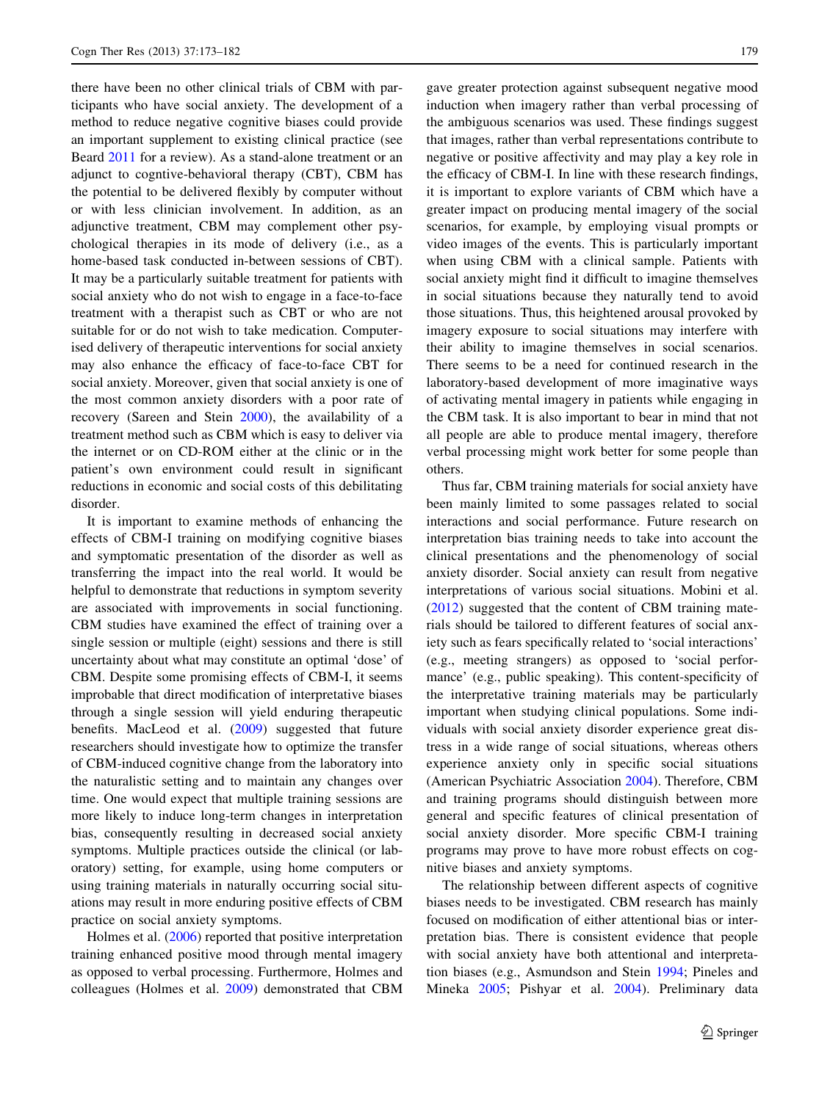there have been no other clinical trials of CBM with participants who have social anxiety. The development of a method to reduce negative cognitive biases could provide an important supplement to existing clinical practice (see Beard [2011](#page-8-0) for a review). As a stand-alone treatment or an adjunct to cogntive-behavioral therapy (CBT), CBM has the potential to be delivered flexibly by computer without or with less clinician involvement. In addition, as an adjunctive treatment, CBM may complement other psychological therapies in its mode of delivery (i.e., as a home-based task conducted in-between sessions of CBT). It may be a particularly suitable treatment for patients with social anxiety who do not wish to engage in a face-to-face treatment with a therapist such as CBT or who are not suitable for or do not wish to take medication. Computerised delivery of therapeutic interventions for social anxiety may also enhance the efficacy of face-to-face CBT for social anxiety. Moreover, given that social anxiety is one of the most common anxiety disorders with a poor rate of recovery (Sareen and Stein [2000](#page-9-0)), the availability of a treatment method such as CBM which is easy to deliver via the internet or on CD-ROM either at the clinic or in the patient's own environment could result in significant reductions in economic and social costs of this debilitating disorder.

It is important to examine methods of enhancing the effects of CBM-I training on modifying cognitive biases and symptomatic presentation of the disorder as well as transferring the impact into the real world. It would be helpful to demonstrate that reductions in symptom severity are associated with improvements in social functioning. CBM studies have examined the effect of training over a single session or multiple (eight) sessions and there is still uncertainty about what may constitute an optimal 'dose' of CBM. Despite some promising effects of CBM-I, it seems improbable that direct modification of interpretative biases through a single session will yield enduring therapeutic benefits. MacLeod et al. ([2009\)](#page-9-0) suggested that future researchers should investigate how to optimize the transfer of CBM-induced cognitive change from the laboratory into the naturalistic setting and to maintain any changes over time. One would expect that multiple training sessions are more likely to induce long-term changes in interpretation bias, consequently resulting in decreased social anxiety symptoms. Multiple practices outside the clinical (or laboratory) setting, for example, using home computers or using training materials in naturally occurring social situations may result in more enduring positive effects of CBM practice on social anxiety symptoms.

Holmes et al. [\(2006](#page-8-0)) reported that positive interpretation training enhanced positive mood through mental imagery as opposed to verbal processing. Furthermore, Holmes and colleagues (Holmes et al. [2009\)](#page-8-0) demonstrated that CBM gave greater protection against subsequent negative mood induction when imagery rather than verbal processing of the ambiguous scenarios was used. These findings suggest that images, rather than verbal representations contribute to negative or positive affectivity and may play a key role in the efficacy of CBM-I. In line with these research findings, it is important to explore variants of CBM which have a greater impact on producing mental imagery of the social scenarios, for example, by employing visual prompts or video images of the events. This is particularly important when using CBM with a clinical sample. Patients with social anxiety might find it difficult to imagine themselves in social situations because they naturally tend to avoid those situations. Thus, this heightened arousal provoked by imagery exposure to social situations may interfere with their ability to imagine themselves in social scenarios. There seems to be a need for continued research in the laboratory-based development of more imaginative ways of activating mental imagery in patients while engaging in the CBM task. It is also important to bear in mind that not all people are able to produce mental imagery, therefore verbal processing might work better for some people than others.

Thus far, CBM training materials for social anxiety have been mainly limited to some passages related to social interactions and social performance. Future research on interpretation bias training needs to take into account the clinical presentations and the phenomenology of social anxiety disorder. Social anxiety can result from negative interpretations of various social situations. Mobini et al. [\(2012](#page-9-0)) suggested that the content of CBM training materials should be tailored to different features of social anxiety such as fears specifically related to 'social interactions' (e.g., meeting strangers) as opposed to 'social performance' (e.g., public speaking). This content-specificity of the interpretative training materials may be particularly important when studying clinical populations. Some individuals with social anxiety disorder experience great distress in a wide range of social situations, whereas others experience anxiety only in specific social situations (American Psychiatric Association [2004\)](#page-8-0). Therefore, CBM and training programs should distinguish between more general and specific features of clinical presentation of social anxiety disorder. More specific CBM-I training programs may prove to have more robust effects on cognitive biases and anxiety symptoms.

The relationship between different aspects of cognitive biases needs to be investigated. CBM research has mainly focused on modification of either attentional bias or interpretation bias. There is consistent evidence that people with social anxiety have both attentional and interpretation biases (e.g., Asmundson and Stein [1994;](#page-8-0) Pineles and Mineka [2005;](#page-9-0) Pishyar et al. [2004\)](#page-9-0). Preliminary data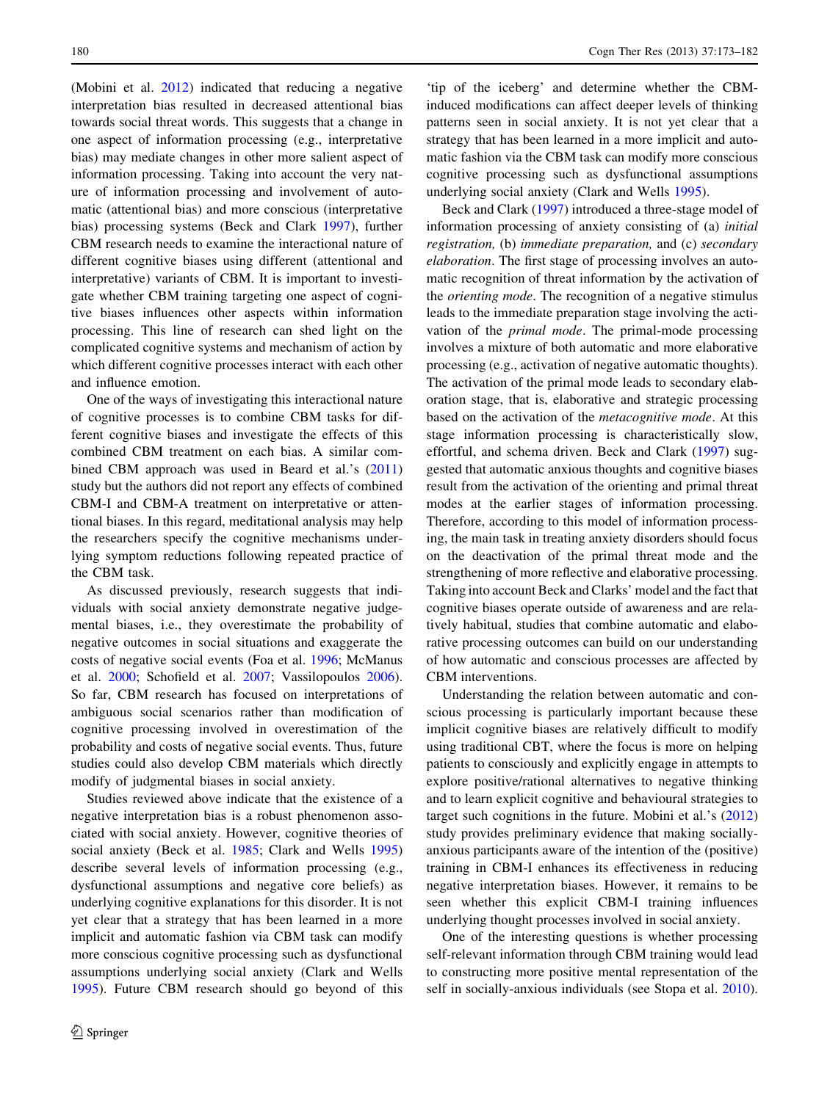(Mobini et al. [2012\)](#page-9-0) indicated that reducing a negative interpretation bias resulted in decreased attentional bias towards social threat words. This suggests that a change in one aspect of information processing (e.g., interpretative bias) may mediate changes in other more salient aspect of information processing. Taking into account the very nature of information processing and involvement of automatic (attentional bias) and more conscious (interpretative bias) processing systems (Beck and Clark [1997\)](#page-8-0), further CBM research needs to examine the interactional nature of different cognitive biases using different (attentional and interpretative) variants of CBM. It is important to investigate whether CBM training targeting one aspect of cognitive biases influences other aspects within information processing. This line of research can shed light on the complicated cognitive systems and mechanism of action by which different cognitive processes interact with each other and influence emotion.

One of the ways of investigating this interactional nature of cognitive processes is to combine CBM tasks for different cognitive biases and investigate the effects of this combined CBM treatment on each bias. A similar combined CBM approach was used in Beard et al.'s ([2011\)](#page-8-0) study but the authors did not report any effects of combined CBM-I and CBM-A treatment on interpretative or attentional biases. In this regard, meditational analysis may help the researchers specify the cognitive mechanisms underlying symptom reductions following repeated practice of the CBM task.

As discussed previously, research suggests that individuals with social anxiety demonstrate negative judgemental biases, i.e., they overestimate the probability of negative outcomes in social situations and exaggerate the costs of negative social events (Foa et al. [1996;](#page-8-0) McManus et al. [2000;](#page-9-0) Schofield et al. [2007](#page-9-0); Vassilopoulos [2006](#page-9-0)). So far, CBM research has focused on interpretations of ambiguous social scenarios rather than modification of cognitive processing involved in overestimation of the probability and costs of negative social events. Thus, future studies could also develop CBM materials which directly modify of judgmental biases in social anxiety.

Studies reviewed above indicate that the existence of a negative interpretation bias is a robust phenomenon associated with social anxiety. However, cognitive theories of social anxiety (Beck et al. [1985](#page-8-0); Clark and Wells [1995\)](#page-8-0) describe several levels of information processing (e.g., dysfunctional assumptions and negative core beliefs) as underlying cognitive explanations for this disorder. It is not yet clear that a strategy that has been learned in a more implicit and automatic fashion via CBM task can modify more conscious cognitive processing such as dysfunctional assumptions underlying social anxiety (Clark and Wells [1995\)](#page-8-0). Future CBM research should go beyond of this

'tip of the iceberg' and determine whether the CBMinduced modifications can affect deeper levels of thinking patterns seen in social anxiety. It is not yet clear that a strategy that has been learned in a more implicit and automatic fashion via the CBM task can modify more conscious cognitive processing such as dysfunctional assumptions underlying social anxiety (Clark and Wells [1995\)](#page-8-0).

Beck and Clark ([1997\)](#page-8-0) introduced a three-stage model of information processing of anxiety consisting of (a) initial registration, (b) immediate preparation, and (c) secondary elaboration. The first stage of processing involves an automatic recognition of threat information by the activation of the orienting mode. The recognition of a negative stimulus leads to the immediate preparation stage involving the activation of the primal mode. The primal-mode processing involves a mixture of both automatic and more elaborative processing (e.g., activation of negative automatic thoughts). The activation of the primal mode leads to secondary elaboration stage, that is, elaborative and strategic processing based on the activation of the metacognitive mode. At this stage information processing is characteristically slow, effortful, and schema driven. Beck and Clark [\(1997](#page-8-0)) suggested that automatic anxious thoughts and cognitive biases result from the activation of the orienting and primal threat modes at the earlier stages of information processing. Therefore, according to this model of information processing, the main task in treating anxiety disorders should focus on the deactivation of the primal threat mode and the strengthening of more reflective and elaborative processing. Taking into account Beck and Clarks' model and the fact that cognitive biases operate outside of awareness and are relatively habitual, studies that combine automatic and elaborative processing outcomes can build on our understanding of how automatic and conscious processes are affected by CBM interventions.

Understanding the relation between automatic and conscious processing is particularly important because these implicit cognitive biases are relatively difficult to modify using traditional CBT, where the focus is more on helping patients to consciously and explicitly engage in attempts to explore positive/rational alternatives to negative thinking and to learn explicit cognitive and behavioural strategies to target such cognitions in the future. Mobini et al.'s ([2012\)](#page-9-0) study provides preliminary evidence that making sociallyanxious participants aware of the intention of the (positive) training in CBM-I enhances its effectiveness in reducing negative interpretation biases. However, it remains to be seen whether this explicit CBM-I training influences underlying thought processes involved in social anxiety.

One of the interesting questions is whether processing self-relevant information through CBM training would lead to constructing more positive mental representation of the self in socially-anxious individuals (see Stopa et al. [2010](#page-9-0)).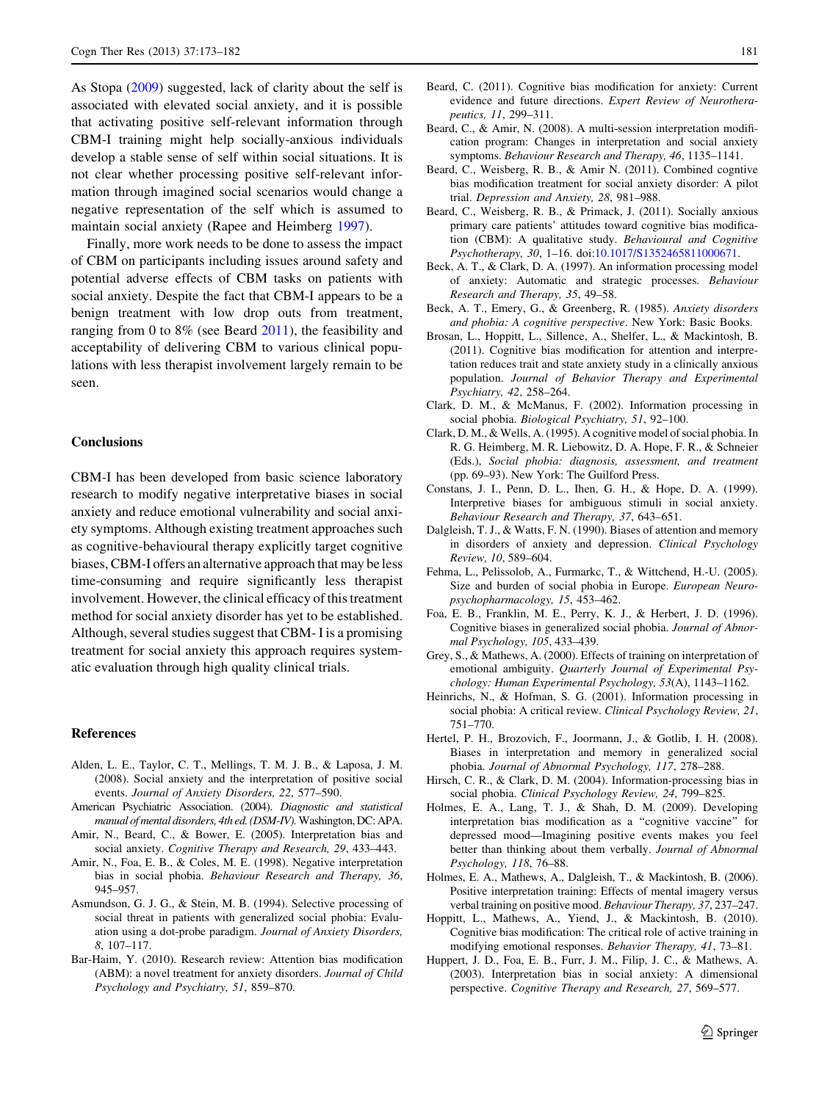<span id="page-8-0"></span>As Stopa [\(2009](#page-9-0)) suggested, lack of clarity about the self is associated with elevated social anxiety, and it is possible that activating positive self-relevant information through CBM-I training might help socially-anxious individuals develop a stable sense of self within social situations. It is not clear whether processing positive self-relevant information through imagined social scenarios would change a negative representation of the self which is assumed to maintain social anxiety (Rapee and Heimberg [1997\)](#page-9-0).

Finally, more work needs to be done to assess the impact of CBM on participants including issues around safety and potential adverse effects of CBM tasks on patients with social anxiety. Despite the fact that CBM-I appears to be a benign treatment with low drop outs from treatment, ranging from 0 to 8% (see Beard 2011), the feasibility and acceptability of delivering CBM to various clinical populations with less therapist involvement largely remain to be seen.

## **Conclusions**

CBM-I has been developed from basic science laboratory research to modify negative interpretative biases in social anxiety and reduce emotional vulnerability and social anxiety symptoms. Although existing treatment approaches such as cognitive-behavioural therapy explicitly target cognitive biases, CBM-I offers an alternative approach that may be less time-consuming and require significantly less therapist involvement. However, the clinical efficacy of this treatment method for social anxiety disorder has yet to be established. Although, several studies suggest that CBM- I is a promising treatment for social anxiety this approach requires systematic evaluation through high quality clinical trials.

#### References

- Alden, L. E., Taylor, C. T., Mellings, T. M. J. B., & Laposa, J. M. (2008). Social anxiety and the interpretation of positive social events. Journal of Anxiety Disorders, 22, 577–590.
- American Psychiatric Association. (2004). Diagnostic and statistical manual of mental disorders, 4th ed. (DSM-IV). Washington, DC: APA.
- Amir, N., Beard, C., & Bower, E. (2005). Interpretation bias and social anxiety. Cognitive Therapy and Research, 29, 433–443.
- Amir, N., Foa, E. B., & Coles, M. E. (1998). Negative interpretation bias in social phobia. Behaviour Research and Therapy, 36, 945–957.
- Asmundson, G. J. G., & Stein, M. B. (1994). Selective processing of social threat in patients with generalized social phobia: Evaluation using a dot-probe paradigm. Journal of Anxiety Disorders, 8, 107–117.
- Bar-Haim, Y. (2010). Research review: Attention bias modification (ABM): a novel treatment for anxiety disorders. Journal of Child Psychology and Psychiatry, 51, 859–870.
- Beard, C. (2011). Cognitive bias modification for anxiety: Current evidence and future directions. Expert Review of Neurotherapeutics, 11, 299–311.
- Beard, C., & Amir, N. (2008). A multi-session interpretation modification program: Changes in interpretation and social anxiety symptoms. Behaviour Research and Therapy, 46, 1135–1141.
- Beard, C., Weisberg, R. B., & Amir N. (2011). Combined cogntive bias modification treatment for social anxiety disorder: A pilot trial. Depression and Anxiety, 28, 981–988.
- Beard, C., Weisberg, R. B., & Primack, J. (2011). Socially anxious primary care patients' attitudes toward cognitive bias modification (CBM): A qualitative study. Behavioural and Cognitive Psychotherapy, 30, 1–16. doi[:10.1017/S1352465811000671](http://dx.doi.org/10.1017/S1352465811000671).
- Beck, A. T., & Clark, D. A. (1997). An information processing model of anxiety: Automatic and strategic processes. Behaviour Research and Therapy, 35, 49–58.
- Beck, A. T., Emery, G., & Greenberg, R. (1985). Anxiety disorders and phobia: A cognitive perspective. New York: Basic Books.
- Brosan, L., Hoppitt, L., Sillence, A., Shelfer, L., & Mackintosh, B. (2011). Cognitive bias modification for attention and interpretation reduces trait and state anxiety study in a clinically anxious population. Journal of Behavior Therapy and Experimental Psychiatry, 42, 258–264.
- Clark, D. M., & McManus, F. (2002). Information processing in social phobia. Biological Psychiatry, 51, 92–100.
- Clark, D. M., & Wells, A. (1995). A cognitive model of social phobia. In R. G. Heimberg, M. R. Liebowitz, D. A. Hope, F. R., & Schneier (Eds.), Social phobia: diagnosis, assessment, and treatment (pp. 69–93). New York: The Guilford Press.
- Constans, J. I., Penn, D. L., Ihen, G. H., & Hope, D. A. (1999). Interpretive biases for ambiguous stimuli in social anxiety. Behaviour Research and Therapy, 37, 643–651.
- Dalgleish, T. J., & Watts, F. N. (1990). Biases of attention and memory in disorders of anxiety and depression. Clinical Psychology Review, 10, 589–604.
- Fehma, L., Pelissolob, A., Furmarkc, T., & Wittchend, H.-U. (2005). Size and burden of social phobia in Europe. European Neuropsychopharmacology, 15, 453–462.
- Foa, E. B., Franklin, M. E., Perry, K. J., & Herbert, J. D. (1996). Cognitive biases in generalized social phobia. Journal of Abnormal Psychology, 105, 433–439.
- Grey, S., & Mathews, A. (2000). Effects of training on interpretation of emotional ambiguity. Quarterly Journal of Experimental Psychology: Human Experimental Psychology, 53(A), 1143–1162.
- Heinrichs, N., & Hofman, S. G. (2001). Information processing in social phobia: A critical review. Clinical Psychology Review, 21, 751–770.
- Hertel, P. H., Brozovich, F., Joormann, J., & Gotlib, I. H. (2008). Biases in interpretation and memory in generalized social phobia. Journal of Abnormal Psychology, 117, 278–288.
- Hirsch, C. R., & Clark, D. M. (2004). Information-processing bias in social phobia. Clinical Psychology Review, 24, 799–825.
- Holmes, E. A., Lang, T. J., & Shah, D. M. (2009). Developing interpretation bias modification as a ''cognitive vaccine'' for depressed mood—Imagining positive events makes you feel better than thinking about them verbally. Journal of Abnormal Psychology, 118, 76–88.
- Holmes, E. A., Mathews, A., Dalgleish, T., & Mackintosh, B. (2006). Positive interpretation training: Effects of mental imagery versus verbal training on positive mood. Behaviour Therapy, 37, 237–247.
- Hoppitt, L., Mathews, A., Yiend, J., & Mackintosh, B. (2010). Cognitive bias modification: The critical role of active training in modifying emotional responses. Behavior Therapy, 41, 73–81.
- Huppert, J. D., Foa, E. B., Furr, J. M., Filip, J. C., & Mathews, A. (2003). Interpretation bias in social anxiety: A dimensional perspective. Cognitive Therapy and Research, 27, 569–577.